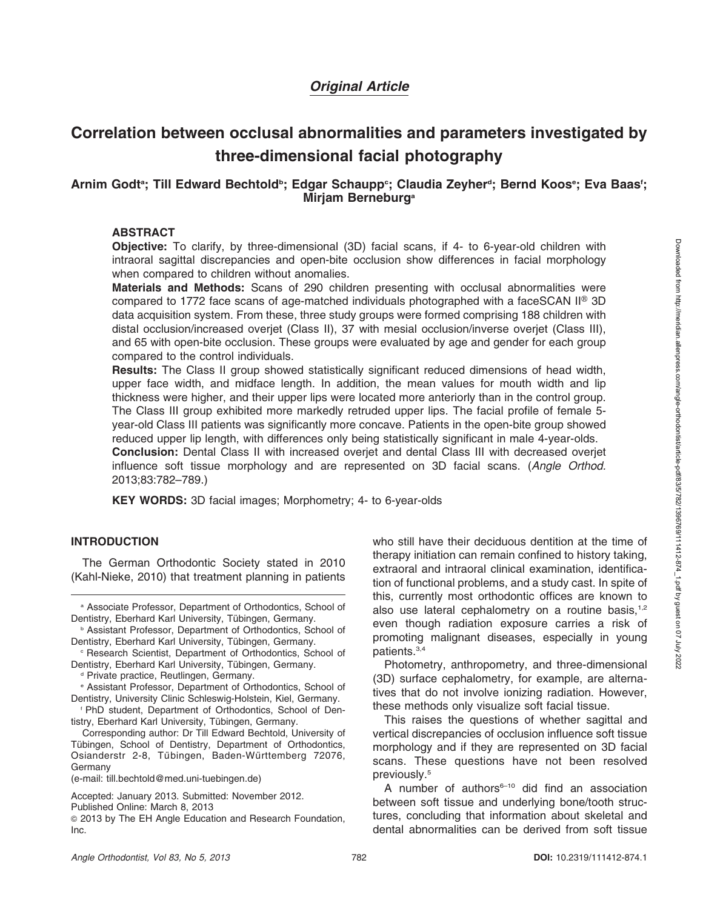# Original Article

# Correlation between occlusal abnormalities and parameters investigated by three-dimensional facial photography

## Arnim Godtª; Till Edward Bechtold<sup>ь</sup>; Edgar Schaupp<sup>。</sup>; Claudia Zeyherª; Bernd Koosª; Eva Baas'; Mirjam Berneburg<sup>a</sup>

#### ABSTRACT

Objective: To clarify, by three-dimensional (3D) facial scans, if 4- to 6-year-old children with intraoral sagittal discrepancies and open-bite occlusion show differences in facial morphology when compared to children without anomalies.

Materials and Methods: Scans of 290 children presenting with occlusal abnormalities were compared to 1772 face scans of age-matched individuals photographed with a faceSCAN  $II^{\circledast}$  3D data acquisition system. From these, three study groups were formed comprising 188 children with distal occlusion/increased overjet (Class II), 37 with mesial occlusion/inverse overjet (Class III), and 65 with open-bite occlusion. These groups were evaluated by age and gender for each group compared to the control individuals.

Results: The Class II group showed statistically significant reduced dimensions of head width, upper face width, and midface length. In addition, the mean values for mouth width and lip thickness were higher, and their upper lips were located more anteriorly than in the control group. The Class III group exhibited more markedly retruded upper lips. The facial profile of female 5 year-old Class III patients was significantly more concave. Patients in the open-bite group showed reduced upper lip length, with differences only being statistically significant in male 4-year-olds.

Conclusion: Dental Class II with increased overjet and dental Class III with decreased overjet influence soft tissue morphology and are represented on 3D facial scans. (Angle Orthod. 2013;83:782–789.)

KEY WORDS: 3D facial images; Morphometry; 4- to 6-year-olds

#### **INTRODUCTION**

The German Orthodontic Society stated in 2010 (Kahl-Nieke, 2010) that treatment planning in patients who still have their deciduous dentition at the time of therapy initiation can remain confined to history taking, extraoral and intraoral clinical examination, identification of functional problems, and a study cast. In spite of this, currently most orthodontic offices are known to also use lateral cephalometry on a routine basis, $1,2$ even though radiation exposure carries a risk of promoting malignant diseases, especially in young patients.3,4

Photometry, anthropometry, and three-dimensional (3D) surface cephalometry, for example, are alternatives that do not involve ionizing radiation. However, these methods only visualize soft facial tissue.

This raises the questions of whether sagittal and vertical discrepancies of occlusion influence soft tissue morphology and if they are represented on 3D facial scans. These questions have not been resolved previously.5

A number of authors $6-10$  did find an association between soft tissue and underlying bone/tooth structures, concluding that information about skeletal and dental abnormalities can be derived from soft tissue

a Associate Professor, Department of Orthodontics, School of Dentistry, Eberhard Karl University, Tübingen, Germany.

**b Assistant Professor, Department of Orthodontics, School of** Dentistry, Eberhard Karl University, Tübingen, Germany.

<sup>c</sup> Research Scientist, Department of Orthodontics, School of Dentistry, Eberhard Karl University, Tübingen, Germany.

<sup>&</sup>lt;sup>d</sup> Private practice, Reutlingen, Germany.

<sup>e</sup> Assistant Professor, Department of Orthodontics, School of Dentistry, University Clinic Schleswig-Holstein, Kiel, Germany.

<sup>f</sup> PhD student, Department of Orthodontics, School of Dentistry, Eberhard Karl University, Tübingen, Germany.

Corresponding author: Dr Till Edward Bechtold, University of Tübingen, School of Dentistry, Department of Orthodontics, Osianderstr 2-8, Tübingen, Baden-Württemberg 72076, Germany

<sup>(</sup>e-mail: till.bechtold@med.uni-tuebingen.de)

Accepted: January 2013. Submitted: November 2012.

Published Online: March 8, 2013

<sup>G</sup> 2013 by The EH Angle Education and Research Foundation, Inc.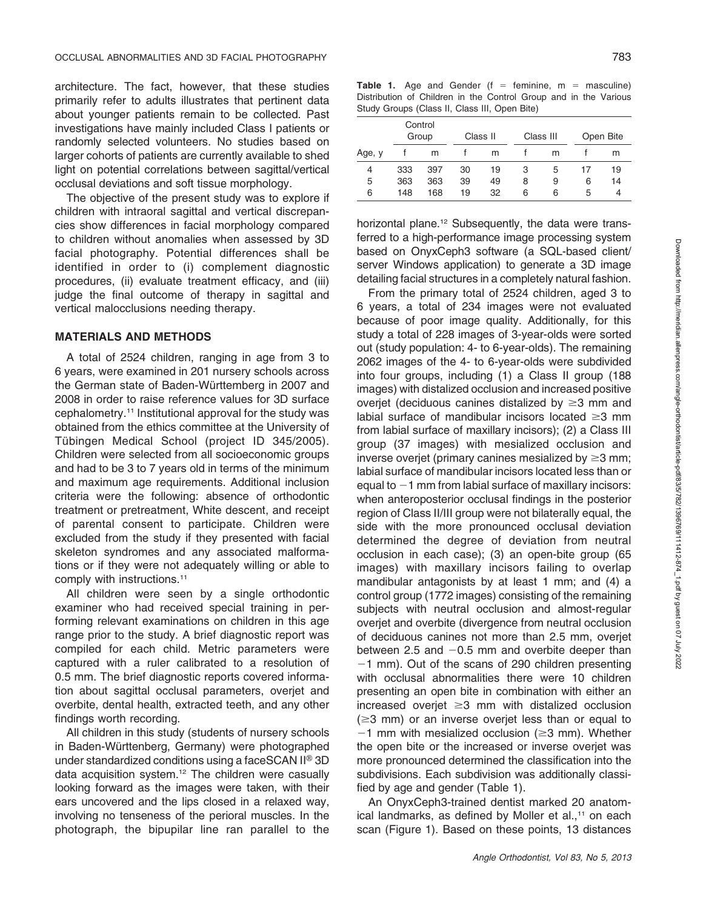architecture. The fact, however, that these studies primarily refer to adults illustrates that pertinent data about younger patients remain to be collected. Past investigations have mainly included Class I patients or randomly selected volunteers. No studies based on larger cohorts of patients are currently available to shed light on potential correlations between sagittal/vertical occlusal deviations and soft tissue morphology.

The objective of the present study was to explore if children with intraoral sagittal and vertical discrepancies show differences in facial morphology compared to children without anomalies when assessed by 3D facial photography. Potential differences shall be identified in order to (i) complement diagnostic procedures, (ii) evaluate treatment efficacy, and (iii) judge the final outcome of therapy in sagittal and vertical malocclusions needing therapy.

#### MATERIALS AND METHODS

A total of 2524 children, ranging in age from 3 to 6 years, were examined in 201 nursery schools across the German state of Baden-Württemberg in 2007 and 2008 in order to raise reference values for 3D surface cephalometry.11 Institutional approval for the study was obtained from the ethics committee at the University of Tübingen Medical School (project ID 345/2005). Children were selected from all socioeconomic groups and had to be 3 to 7 years old in terms of the minimum and maximum age requirements. Additional inclusion criteria were the following: absence of orthodontic treatment or pretreatment, White descent, and receipt of parental consent to participate. Children were excluded from the study if they presented with facial skeleton syndromes and any associated malformations or if they were not adequately willing or able to comply with instructions.<sup>11</sup>

All children were seen by a single orthodontic examiner who had received special training in performing relevant examinations on children in this age range prior to the study. A brief diagnostic report was compiled for each child. Metric parameters were captured with a ruler calibrated to a resolution of 0.5 mm. The brief diagnostic reports covered information about sagittal occlusal parameters, overjet and overbite, dental health, extracted teeth, and any other findings worth recording.

All children in this study (students of nursery schools in Baden-Württenberg, Germany) were photographed under standardized conditions using a face SCAN  $II^{\circledR}$  3D data acquisition system.<sup>12</sup> The children were casually looking forward as the images were taken, with their ears uncovered and the lips closed in a relaxed way, involving no tenseness of the perioral muscles. In the photograph, the bipupilar line ran parallel to the

**Table 1.** Age and Gender ( $f =$  feminine,  $m =$  masculine) Distribution of Children in the Control Group and in the Various Study Groups (Class II, Class III, Open Bite)

| Control<br>Group |     |     |    | Class II |   | Class III |    | Open Bite |  |
|------------------|-----|-----|----|----------|---|-----------|----|-----------|--|
| Age, y           |     | m   |    | m        |   | m         |    | m         |  |
| 4                | 333 | 397 | 30 | 19       | З | 5         | 17 | 19        |  |
| 5                | 363 | 363 | 39 | 49       | 8 | 9         | 6  | 14        |  |
| 6                | 148 | 168 | 19 | 32       | 6 | 6         | 5  | 4         |  |

horizontal plane.<sup>12</sup> Subsequently, the data were transferred to a high-performance image processing system based on OnyxCeph3 software (a SQL-based client/ server Windows application) to generate a 3D image detailing facial structures in a completely natural fashion.

From the primary total of 2524 children, aged 3 to 6 years, a total of 234 images were not evaluated because of poor image quality. Additionally, for this study a total of 228 images of 3-year-olds were sorted out (study population: 4- to 6-year-olds). The remaining 2062 images of the 4- to 6-year-olds were subdivided into four groups, including (1) a Class II group (188 images) with distalized occlusion and increased positive overjet (deciduous canines distalized by  $\geq$ 3 mm and labial surface of mandibular incisors located  $\geq$ 3 mm from labial surface of maxillary incisors); (2) a Class III group (37 images) with mesialized occlusion and inverse overjet (primary canines mesialized by  $\geq$ 3 mm; labial surface of mandibular incisors located less than or equal to  $-1$  mm from labial surface of maxillary incisors: when anteroposterior occlusal findings in the posterior region of Class II/III group were not bilaterally equal, the side with the more pronounced occlusal deviation determined the degree of deviation from neutral occlusion in each case); (3) an open-bite group (65 images) with maxillary incisors failing to overlap mandibular antagonists by at least 1 mm; and (4) a control group (1772 images) consisting of the remaining subjects with neutral occlusion and almost-regular overjet and overbite (divergence from neutral occlusion of deciduous canines not more than 2.5 mm, overjet between 2.5 and  $-0.5$  mm and overbite deeper than  $-1$  mm). Out of the scans of 290 children presenting with occlusal abnormalities there were 10 children presenting an open bite in combination with either an increased overjet  $\geq$ 3 mm with distalized occlusion  $(\geq 3$  mm) or an inverse overjet less than or equal to  $-1$  mm with mesialized occlusion ( $\geq$ 3 mm). Whether the open bite or the increased or inverse overjet was more pronounced determined the classification into the subdivisions. Each subdivision was additionally classified by age and gender (Table 1).

An OnyxCeph3-trained dentist marked 20 anatomical landmarks, as defined by Moller et al.,<sup>11</sup> on each scan (Figure 1). Based on these points, 13 distances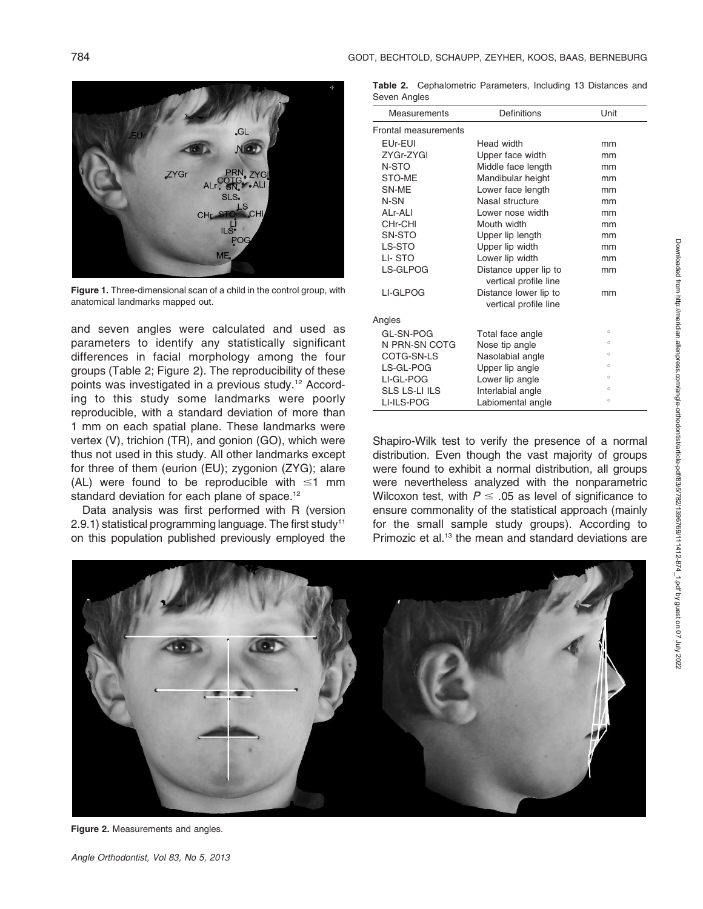

Figure 1. Three-dimensional scan of a child in the control group, with anatomical landmarks mapped out.

and seven angles were calculated and used as parameters to identify any statistically significant differences in facial morphology among the four groups (Table 2; Figure 2). The reproducibility of these points was investigated in a previous study.<sup>12</sup> According to this study some landmarks were poorly reproducible, with a standard deviation of more than 1 mm on each spatial plane. These landmarks were vertex (V), trichion (TR), and gonion (GO), which were thus not used in this study. All other landmarks except for three of them (eurion (EU); zygonion (ZYG); alare (AL) were found to be reproducible with  $\leq 1$  mm standard deviation for each plane of space.<sup>12</sup>

Data analysis was first performed with R (version  $2.9.1$ ) statistical programming language. The first study<sup>11</sup> on this population published previously employed the

|              | Table 2. Cephalometric Parameters, Including 13 Distances and |  |  |  |
|--------------|---------------------------------------------------------------|--|--|--|
| Seven Angles |                                                               |  |  |  |

| Measurements         | Definitions                                    | Unit    |
|----------------------|------------------------------------------------|---------|
| Frontal measurements |                                                |         |
| EUr-EUI              | Head width                                     | mm      |
| ZYGr-ZYGI            | Upper face width                               | mm      |
| N-STO                | Middle face length                             | mm      |
| STO-ME               | Mandibular height                              | mm      |
| SN-ME                | Lower face length                              | mm      |
| N-SN                 | Nasal structure                                | mm      |
| ALr-ALI              | Lower nose width                               | mm      |
| CHr-CHI              | Mouth width                                    | mm      |
| SN-STO               | Upper lip length                               | mm      |
| LS-STO               | Upper lip width                                | mm      |
| LI-STO               | Lower lip width                                | mm      |
| LS-GLPOG             | Distance upper lip to<br>vertical profile line | mm      |
| LI-GLPOG             | Distance lower lip to<br>vertical profile line | mm      |
| Angles               |                                                |         |
| GL-SN-POG            | Total face angle                               | $\circ$ |
| N PRN-SN COTG        | Nose tip angle                                 | $\circ$ |
| COTG-SN-LS           | Nasolabial angle                               | $\circ$ |
| LS-GL-POG            | Upper lip angle                                | $\circ$ |
| LI-GL-POG            | Lower lip angle                                | $\circ$ |
| <b>SLS LS-LI ILS</b> | Interlabial angle                              | $\circ$ |
| LI-ILS-POG           | Labiomental angle                              | $\circ$ |

Shapiro-Wilk test to verify the presence of a normal distribution. Even though the vast majority of groups were found to exhibit a normal distribution, all groups were nevertheless analyzed with the nonparametric Wilcoxon test, with  $P \leq 0.05$  as level of significance to ensure commonality of the statistical approach (mainly for the small sample study groups). According to Primozic et al.<sup>13</sup> the mean and standard deviations are



Figure 2. Measurements and angles.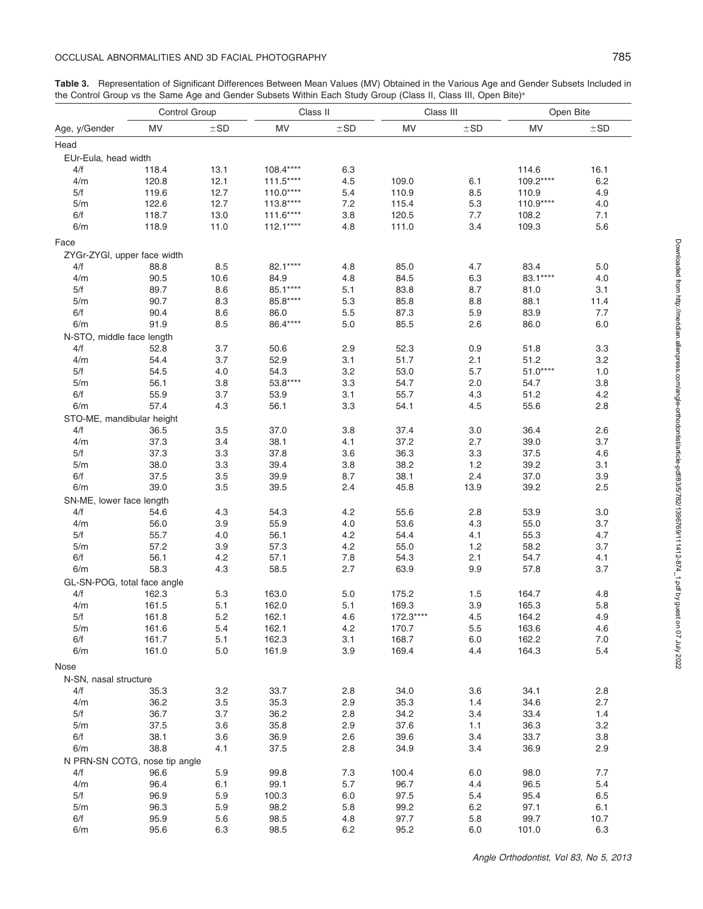#### OCCLUSAL ABNORMALITIES AND 3D FACIAL PHOTOGRAPHY **785**

|                               | Control Group |          | Class II   |     | Class III  |          | Open Bite |          |
|-------------------------------|---------------|----------|------------|-----|------------|----------|-----------|----------|
| Age, y/Gender                 | MV            | $\pm$ SD | MV         | ±SD | MV         | $\pm$ SD | <b>MV</b> | $\pm$ SD |
| Head                          |               |          |            |     |            |          |           |          |
| EUr-Eula, head width          |               |          |            |     |            |          |           |          |
| 4/f                           | 118.4         | 13.1     | 108.4****  | 6.3 |            |          | 114.6     | 16.1     |
| 4/m                           | 120.8         | 12.1     | $111.5***$ | 4.5 | 109.0      | 6.1      | 109.2**** | 6.2      |
| 5/f                           | 119.6         | 12.7     | $110.0***$ | 5.4 | 110.9      | 8.5      | 110.9     | 4.9      |
| 5/m                           | 122.6         | 12.7     | $113.8***$ | 7.2 | 115.4      | 5.3      | 110.9**** | 4.0      |
| 6/f                           | 118.7         | 13.0     | $111.6***$ | 3.8 | 120.5      | 7.7      | 108.2     | 7.1      |
| 6/m                           | 118.9         | 11.0     | $112.1***$ | 4.8 | 111.0      | 3.4      | 109.3     | 5.6      |
| Face                          |               |          |            |     |            |          |           |          |
| ZYGr-ZYGI, upper face width   |               |          |            |     |            |          |           |          |
| 4/f                           | 88.8          | 8.5      | 82.1****   | 4.8 | 85.0       | 4.7      | 83.4      | 5.0      |
| 4/m                           | 90.5          | 10.6     | 84.9       | 4.8 | 84.5       | 6.3      | 83.1****  | 4.0      |
| 5/f                           | 89.7          | 8.6      | 85.1****   | 5.1 | 83.8       | 8.7      | 81.0      | 3.1      |
| 5/m                           | 90.7          | 8.3      | 85.8****   | 5.3 | 85.8       | 8.8      | 88.1      | 11.4     |
| 6/f                           | 90.4          | 8.6      | 86.0       | 5.5 | 87.3       | 5.9      | 83.9      | 7.7      |
| 6/m                           | 91.9          | 8.5      | 86.4****   | 5.0 | 85.5       | 2.6      | 86.0      | 6.0      |
|                               |               |          |            |     |            |          |           |          |
| N-STO, middle face length     |               |          |            |     |            |          |           |          |
| 4/f                           | 52.8          | 3.7      | 50.6       | 2.9 | 52.3       | 0.9      | 51.8      | 3.3      |
| 4/m                           | 54.4          | 3.7      | 52.9       | 3.1 | 51.7       | 2.1      | 51.2      | 3.2      |
| 5/f                           | 54.5          | 4.0      | 54.3       | 3.2 | 53.0       | 5.7      | $51.0***$ | 1.0      |
| 5/m                           | 56.1          | 3.8      | 53.8****   | 3.3 | 54.7       | 2.0      | 54.7      | 3.8      |
| 6/f                           | 55.9          | 3.7      | 53.9       | 3.1 | 55.7       | 4.3      | 51.2      | 4.2      |
| 6/m                           | 57.4          | 4.3      | 56.1       | 3.3 | 54.1       | 4.5      | 55.6      | 2.8      |
| STO-ME, mandibular height     |               |          |            |     |            |          |           |          |
| 4/f                           | 36.5          | 3.5      | 37.0       | 3.8 | 37.4       | 3.0      | 36.4      | 2.6      |
| 4/m                           | 37.3          | 3.4      | 38.1       | 4.1 | 37.2       | 2.7      | 39.0      | 3.7      |
| 5/f                           | 37.3          | 3.3      | 37.8       | 3.6 | 36.3       | 3.3      | 37.5      | 4.6      |
| 5/m                           | 38.0          | 3.3      | 39.4       | 3.8 | 38.2       | 1.2      | 39.2      | 3.1      |
| 6/f                           | 37.5          | 3.5      | 39.9       | 8.7 | 38.1       | 2.4      | 37.0      | 3.9      |
| 6/m                           | 39.0          | 3.5      | 39.5       | 2.4 | 45.8       | 13.9     | 39.2      | 2.5      |
| SN-ME, lower face length      |               |          |            |     |            |          |           |          |
| 4/f                           | 54.6          | 4.3      | 54.3       | 4.2 | 55.6       | 2.8      | 53.9      | 3.0      |
| 4/m                           | 56.0          | 3.9      | 55.9       | 4.0 | 53.6       | 4.3      | 55.0      | 3.7      |
| 5/f                           | 55.7          | 4.0      | 56.1       | 4.2 | 54.4       | 4.1      | 55.3      | 4.7      |
| 5/m                           | 57.2          | 3.9      | 57.3       | 4.2 | 55.0       | 1.2      | 58.2      | 3.7      |
| 6/f                           | 56.1          | 4.2      | 57.1       | 7.8 | 54.3       | 2.1      | 54.7      | 4.1      |
| 6/m                           | 58.3          | 4.3      | 58.5       | 2.7 | 63.9       | 9.9      | 57.8      | 3.7      |
| GL-SN-POG, total face angle   |               |          |            |     |            |          |           |          |
| 4/f                           | 162.3         | 5.3      | 163.0      | 5.0 | 175.2      | 1.5      | 164.7     | 4.8      |
| 4/m                           | 161.5         | 5.1      | 162.0      | 5.1 | 169.3      | 3.9      | 165.3     | 5.8      |
| 5/f                           | 161.8         | 5.2      | 162.1      | 4.6 | $172.3***$ | 4.5      | 164.2     | 4.9      |
| 5/m                           | 161.6         | 5.4      | 162.1      | 4.2 | 170.7      | 5.5      | 163.6     | 4.6      |
| 6/f                           | 161.7         | 5.1      | 162.3      | 3.1 | 168.7      | 6.0      | 162.2     | 7.0      |
| 6/m                           | 161.0         | $5.0$    | 161.9      | 3.9 | 169.4      | 4.4      | 164.3     | 5.4      |
| Nose                          |               |          |            |     |            |          |           |          |
| N-SN, nasal structure         |               |          |            |     |            |          |           |          |
| 4/f                           | 35.3          | 3.2      | 33.7       | 2.8 | 34.0       | 3.6      | 34.1      |          |
| 4/m                           |               |          |            |     |            |          |           | 2.8      |
|                               | 36.2          | 3.5      | 35.3       | 2.9 | 35.3       | 1.4      | 34.6      | 2.7      |
| 5/f                           | 36.7          | 3.7      | 36.2       | 2.8 | 34.2       | 3.4      | 33.4      | 1.4      |
| 5/m                           | 37.5          | 3.6      | 35.8       | 2.9 | 37.6       | 1.1      | 36.3      | 3.2      |
| 6/f                           | 38.1          | 3.6      | 36.9       | 2.6 | 39.6       | 3.4      | 33.7      | 3.8      |
| 6/m                           | 38.8          | 4.1      | 37.5       | 2.8 | 34.9       | 3.4      | 36.9      | 2.9      |
| N PRN-SN COTG, nose tip angle |               |          |            |     |            |          |           |          |
| 4/f                           | 96.6          | 5.9      | 99.8       | 7.3 | 100.4      | 6.0      | 98.0      | 7.7      |
| 4/m                           | 96.4          | 6.1      | 99.1       | 5.7 | 96.7       | 4.4      | 96.5      | 5.4      |
| 5/f                           | 96.9          | 5.9      | 100.3      | 6.0 | 97.5       | 5.4      | 95.4      | 6.5      |
| 5/m                           | 96.3          | 5.9      | 98.2       | 5.8 | 99.2       | 6.2      | 97.1      | 6.1      |
| 6/f                           | 95.9          | 5.6      | 98.5       | 4.8 | 97.7       | 5.8      | 99.7      | 10.7     |
| 6/m                           | 95.6          | 6.3      | 98.5       | 6.2 | 95.2       | 6.0      | 101.0     | 6.3      |

Table 3. Representation of Significant Differences Between Mean Values (MV) Obtained in the Various Age and Gender Subsets Included in

the Control Group vs the Same Age and Gender Subsets Within Each Study Group (Class II, Class III, Open Bite)<sup>a</sup>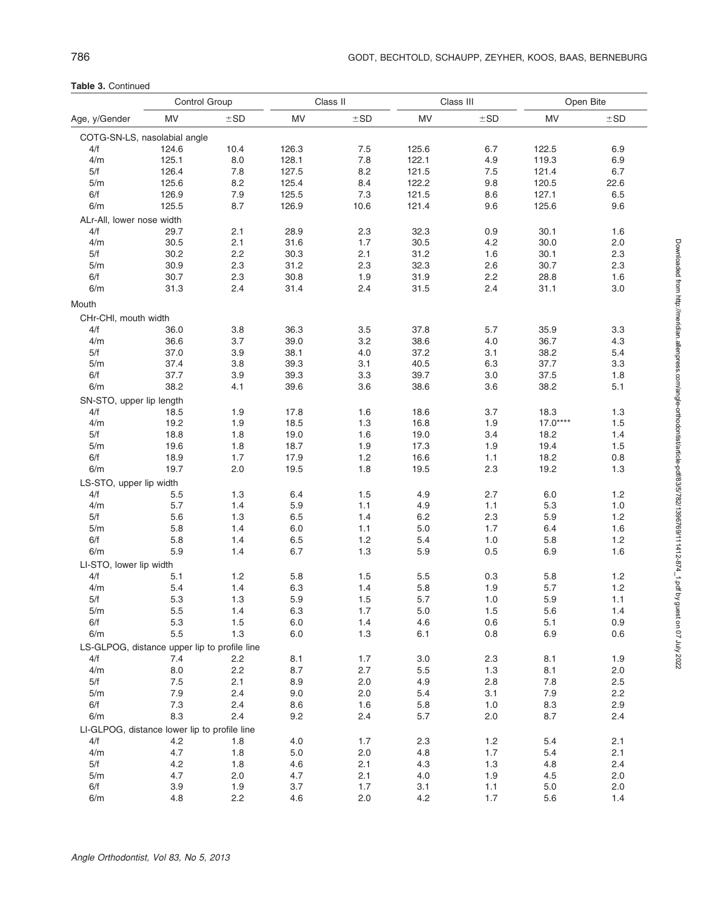Table 3. Continued

|                                              | Control Group |          |       | Class II |         | Class III |           | Open Bite |  |
|----------------------------------------------|---------------|----------|-------|----------|---------|-----------|-----------|-----------|--|
| Age, y/Gender                                | <b>MV</b>     | $\pm$ SD | MV    | $\pm$ SD | MV      | ±SD       | MV        | $\pm$ SD  |  |
| COTG-SN-LS, nasolabial angle                 |               |          |       |          |         |           |           |           |  |
| 4/f                                          | 124.6         | 10.4     | 126.3 | 7.5      | 125.6   | 6.7       | 122.5     | 6.9       |  |
| 4/m                                          | 125.1         | 8.0      | 128.1 | 7.8      | 122.1   | 4.9       | 119.3     | 6.9       |  |
| 5/f                                          | 126.4         | 7.8      | 127.5 | 8.2      | 121.5   | 7.5       | 121.4     | 6.7       |  |
| 5/m                                          | 125.6         | 8.2      | 125.4 | 8.4      | 122.2   | 9.8       | 120.5     | 22.6      |  |
| 6/f                                          | 126.9         | 7.9      | 125.5 | 7.3      | 121.5   | 8.6       | 127.1     | 6.5       |  |
| 6/m                                          | 125.5         | 8.7      | 126.9 | 10.6     | 121.4   | 9.6       | 125.6     | 9.6       |  |
|                                              |               |          |       |          |         |           |           |           |  |
| ALr-All, lower nose width                    |               |          |       |          |         |           |           |           |  |
| 4/f                                          | 29.7          | 2.1      | 28.9  | 2.3      | 32.3    | 0.9       | 30.1      | 1.6       |  |
| 4/m                                          | 30.5          | 2.1      | 31.6  | 1.7      | 30.5    | 4.2       | 30.0      | 2.0       |  |
| 5/f                                          | 30.2          | 2.2      | 30.3  | 2.1      | 31.2    | 1.6       | 30.1      | 2.3       |  |
| 5/m                                          | 30.9          | 2.3      | 31.2  | 2.3      | 32.3    | 2.6       | 30.7      | 2.3       |  |
| 6/f                                          | 30.7          | 2.3      | 30.8  | 1.9      | 31.9    | 2.2       | 28.8      | 1.6       |  |
| 6/m                                          | 31.3          | 2.4      | 31.4  | 2.4      | 31.5    | 2.4       | 31.1      | 3.0       |  |
| Mouth                                        |               |          |       |          |         |           |           |           |  |
| CHr-CHI, mouth width                         |               |          |       |          |         |           |           |           |  |
| 4/f                                          | 36.0          | 3.8      | 36.3  | 3.5      | 37.8    | 5.7       | 35.9      | 3.3       |  |
| 4/m                                          | 36.6          | 3.7      | 39.0  | 3.2      | 38.6    | 4.0       | 36.7      | 4.3       |  |
| 5/f                                          | 37.0          | 3.9      | 38.1  | 4.0      | 37.2    | 3.1       | 38.2      | 5.4       |  |
| 5/m                                          | 37.4          | 3.8      | 39.3  | 3.1      | 40.5    | 6.3       | 37.7      | 3.3       |  |
| 6/f                                          | 37.7          | 3.9      | 39.3  | 3.3      | 39.7    | 3.0       | 37.5      | 1.8       |  |
| 6/m                                          | 38.2          | 4.1      | 39.6  | 3.6      | 38.6    | 3.6       | 38.2      | 5.1       |  |
|                                              |               |          |       |          |         |           |           |           |  |
| SN-STO, upper lip length                     |               |          |       |          |         |           |           |           |  |
| 4/f                                          | 18.5          | 1.9      | 17.8  | 1.6      | 18.6    | 3.7       | 18.3      | 1.3       |  |
| 4/m                                          | 19.2          | 1.9      | 18.5  | 1.3      | 16.8    | 1.9       | $17.0***$ | 1.5       |  |
| 5/f                                          | 18.8          | 1.8      | 19.0  | 1.6      | 19.0    | 3.4       | 18.2      | 1.4       |  |
| 5/m                                          | 19.6          | 1.8      | 18.7  | 1.9      | 17.3    | 1.9       | 19.4      | 1.5       |  |
| 6/f                                          | 18.9          | 1.7      | 17.9  | 1.2      | 16.6    | 1.1       | 18.2      | 0.8       |  |
| 6/m                                          | 19.7          | 2.0      | 19.5  | 1.8      | 19.5    | 2.3       | 19.2      | 1.3       |  |
| LS-STO, upper lip width                      |               |          |       |          |         |           |           |           |  |
| 4/f                                          | 5.5           | 1.3      | 6.4   | 1.5      | 4.9     | 2.7       | 6.0       | 1.2       |  |
| 4/m                                          | 5.7           | 1.4      | 5.9   | 1.1      | 4.9     | 1.1       | 5.3       | 1.0       |  |
| 5/f                                          | 5.6           | 1.3      | 6.5   | 1.4      | 6.2     | 2.3       | 5.9       | 1.2       |  |
| 5/m                                          | 5.8           | 1.4      | 6.0   | 1.1      | $5.0\,$ | 1.7       | 6.4       | 1.6       |  |
| 6/f                                          | 5.8           | 1.4      | 6.5   | 1.2      | 5.4     | 1.0       | 5.8       | 1.2       |  |
| 6/m                                          | 5.9           | 1.4      | 6.7   | 1.3      | 5.9     | 0.5       | 6.9       | 1.6       |  |
| LI-STO, lower lip width                      |               |          |       |          |         |           |           |           |  |
| 4/f                                          | 5.1           | 1.2      | 5.8   | 1.5      | 5.5     | 0.3       | 5.8       | 1.2       |  |
| 4/m                                          | 5.4           | 1.4      | 6.3   | 1.4      | 5.8     | 1.9       | 5.7       | 1.2       |  |
| 5/f                                          | 5.3           | 1.3      | 5.9   | 1.5      | 5.7     | 1.0       | 5.9       | 1.1       |  |
| 5/m                                          | 5.5           | 1.4      | 6.3   | 1.7      | 5.0     | 1.5       | 5.6       | 1.4       |  |
| 6/f                                          | 5.3           | 1.5      | 6.0   | 1.4      | 4.6     | 0.6       | 5.1       | 0.9       |  |
| 6/m                                          | 5.5           | 1.3      | 6.0   | 1.3      | 6.1     | 0.8       | 6.9       | 0.6       |  |
|                                              |               |          |       |          |         |           |           |           |  |
| LS-GLPOG, distance upper lip to profile line |               |          |       |          |         |           |           |           |  |
| 4/f                                          | 7.4           | 2.2      | 8.1   | 1.7      | 3.0     | 2.3       | 8.1       | 1.9       |  |
| 4/m                                          | 8.0           | 2.2      | 8.7   | 2.7      | 5.5     | 1.3       | 8.1       | 2.0       |  |
| 5/f                                          | 7.5           | 2.1      | 8.9   | 2.0      | 4.9     | 2.8       | 7.8       | 2.5       |  |
| 5/m                                          | 7.9           | 2.4      | 9.0   | 2.0      | 5.4     | 3.1       | 7.9       | 2.2       |  |
| 6/f                                          | 7.3           | 2.4      | 8.6   | 1.6      | 5.8     | 1.0       | 8.3       | 2.9       |  |
| 6/m                                          | 8.3           | 2.4      | 9.2   | 2.4      | 5.7     | 2.0       | 8.7       | 2.4       |  |
| LI-GLPOG, distance lower lip to profile line |               |          |       |          |         |           |           |           |  |
| 4/f                                          | 4.2           | 1.8      | 4.0   | 1.7      | 2.3     | 1.2       | 5.4       | 2.1       |  |
| 4/m                                          | 4.7           | 1.8      | 5.0   | 2.0      | 4.8     | 1.7       | 5.4       | 2.1       |  |
| 5/f                                          | 4.2           | 1.8      | 4.6   | 2.1      | 4.3     | 1.3       | 4.8       | 2.4       |  |
| 5/m                                          | 4.7           | 2.0      | 4.7   | 2.1      | 4.0     | 1.9       | 4.5       | 2.0       |  |
| 6/f                                          | 3.9           | 1.9      | 3.7   | 1.7      | 3.1     | 1.1       | 5.0       | 2.0       |  |
| 6/m                                          | 4.8           | 2.2      | 4.6   | 2.0      | 4.2     | 1.7       | 5.6       | 1.4       |  |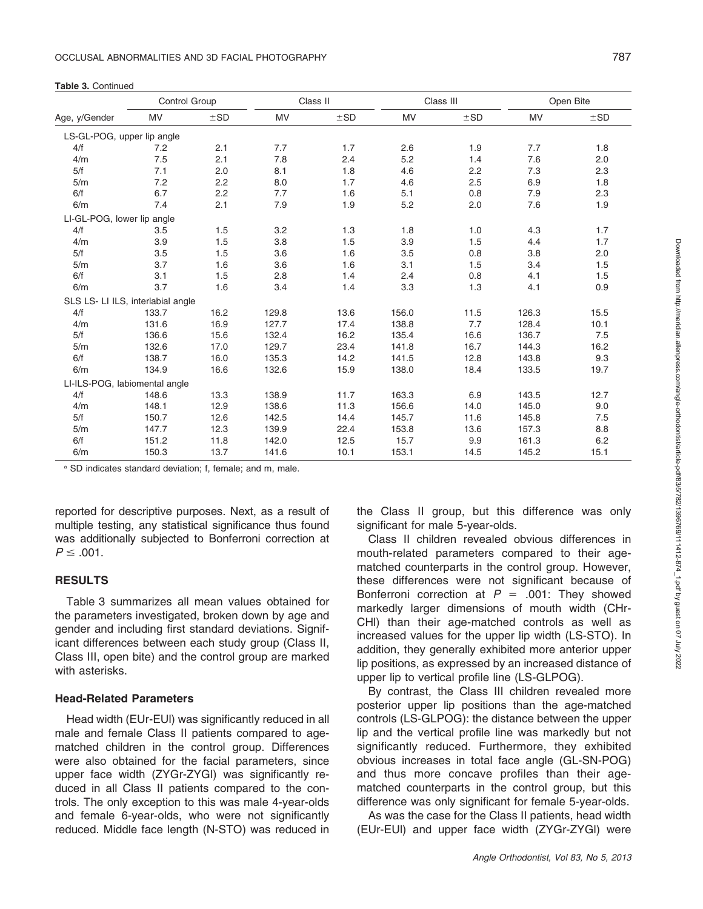|  |  | <b>Table 3. Continued</b> |
|--|--|---------------------------|
|--|--|---------------------------|

|                                   | Control Group |          |           | Class II |       | Class III |           | Open Bite |
|-----------------------------------|---------------|----------|-----------|----------|-------|-----------|-----------|-----------|
| Age, y/Gender                     | MV            | $\pm$ SD | <b>MV</b> | ±SD      | MV    | $\pm$ SD  | <b>MV</b> | $\pm$ SD  |
| LS-GL-POG, upper lip angle        |               |          |           |          |       |           |           |           |
| 4/f                               | 7.2           | 2.1      | 7.7       | 1.7      | 2.6   | 1.9       | 7.7       | 1.8       |
| 4/m                               | 7.5           | 2.1      | 7.8       | 2.4      | 5.2   | 1.4       | 7.6       | 2.0       |
| 5/f                               | 7.1           | 2.0      | 8.1       | 1.8      | 4.6   | 2.2       | 7.3       | 2.3       |
| 5/m                               | 7.2           | 2.2      | 8.0       | 1.7      | 4.6   | 2.5       | 6.9       | 1.8       |
| 6/f                               | 6.7           | 2.2      | 7.7       | 1.6      | 5.1   | 0.8       | 7.9       | 2.3       |
| 6/m                               | 7.4           | 2.1      | 7.9       | 1.9      | 5.2   | 2.0       | 7.6       | 1.9       |
| LI-GL-POG, lower lip angle        |               |          |           |          |       |           |           |           |
| 4/f                               | 3.5           | 1.5      | 3.2       | 1.3      | 1.8   | 1.0       | 4.3       | 1.7       |
| 4/m                               | 3.9           | 1.5      | 3.8       | 1.5      | 3.9   | 1.5       | 4.4       | 1.7       |
| 5/f                               | 3.5           | 1.5      | 3.6       | 1.6      | 3.5   | 0.8       | 3.8       | 2.0       |
| 5/m                               | 3.7           | 1.6      | 3.6       | 1.6      | 3.1   | 1.5       | 3.4       | 1.5       |
| 6/f                               | 3.1           | 1.5      | 2.8       | 1.4      | 2.4   | 0.8       | 4.1       | 1.5       |
| 6/m                               | 3.7           | 1.6      | 3.4       | 1.4      | 3.3   | 1.3       | 4.1       | 0.9       |
| SLS LS- LI ILS, interlabial angle |               |          |           |          |       |           |           |           |
| 4/f                               | 133.7         | 16.2     | 129.8     | 13.6     | 156.0 | 11.5      | 126.3     | 15.5      |
| 4/m                               | 131.6         | 16.9     | 127.7     | 17.4     | 138.8 | 7.7       | 128.4     | 10.1      |
| 5/f                               | 136.6         | 15.6     | 132.4     | 16.2     | 135.4 | 16.6      | 136.7     | 7.5       |
| 5/m                               | 132.6         | 17.0     | 129.7     | 23.4     | 141.8 | 16.7      | 144.3     | 16.2      |
| 6/f                               | 138.7         | 16.0     | 135.3     | 14.2     | 141.5 | 12.8      | 143.8     | 9.3       |
| 6/m                               | 134.9         | 16.6     | 132.6     | 15.9     | 138.0 | 18.4      | 133.5     | 19.7      |
| LI-ILS-POG, labiomental angle     |               |          |           |          |       |           |           |           |
| 4/f                               | 148.6         | 13.3     | 138.9     | 11.7     | 163.3 | 6.9       | 143.5     | 12.7      |
| 4/m                               | 148.1         | 12.9     | 138.6     | 11.3     | 156.6 | 14.0      | 145.0     | 9.0       |
| 5/f                               | 150.7         | 12.6     | 142.5     | 14.4     | 145.7 | 11.6      | 145.8     | 7.5       |
| 5/m                               | 147.7         | 12.3     | 139.9     | 22.4     | 153.8 | 13.6      | 157.3     | 8.8       |
| 6/f                               | 151.2         | 11.8     | 142.0     | 12.5     | 15.7  | 9.9       | 161.3     | 6.2       |
| 6/m                               | 150.3         | 13.7     | 141.6     | 10.1     | 153.1 | 14.5      | 145.2     | 15.1      |

<sup>a</sup> SD indicates standard deviation; f, female; and m, male.

reported for descriptive purposes. Next, as a result of multiple testing, any statistical significance thus found was additionally subjected to Bonferroni correction at  $P \leq .001$ .

### **RESULTS**

Table 3 summarizes all mean values obtained for the parameters investigated, broken down by age and gender and including first standard deviations. Significant differences between each study group (Class II, Class III, open bite) and the control group are marked with asterisks.

#### Head-Related Parameters

Head width (EUr-EUl) was significantly reduced in all male and female Class II patients compared to agematched children in the control group. Differences were also obtained for the facial parameters, since upper face width (ZYGr-ZYGl) was significantly reduced in all Class II patients compared to the controls. The only exception to this was male 4-year-olds and female 6-year-olds, who were not significantly reduced. Middle face length (N-STO) was reduced in the Class II group, but this difference was only significant for male 5-year-olds.

Class II children revealed obvious differences in mouth-related parameters compared to their agematched counterparts in the control group. However, these differences were not significant because of Bonferroni correction at  $P = .001$ : They showed markedly larger dimensions of mouth width (CHr-CHl) than their age-matched controls as well as increased values for the upper lip width (LS-STO). In addition, they generally exhibited more anterior upper lip positions, as expressed by an increased distance of upper lip to vertical profile line (LS-GLPOG).

By contrast, the Class III children revealed more posterior upper lip positions than the age-matched controls (LS-GLPOG): the distance between the upper lip and the vertical profile line was markedly but not significantly reduced. Furthermore, they exhibited obvious increases in total face angle (GL-SN-POG) and thus more concave profiles than their agematched counterparts in the control group, but this difference was only significant for female 5-year-olds.

As was the case for the Class II patients, head width (EUr-EUl) and upper face width (ZYGr-ZYGl) were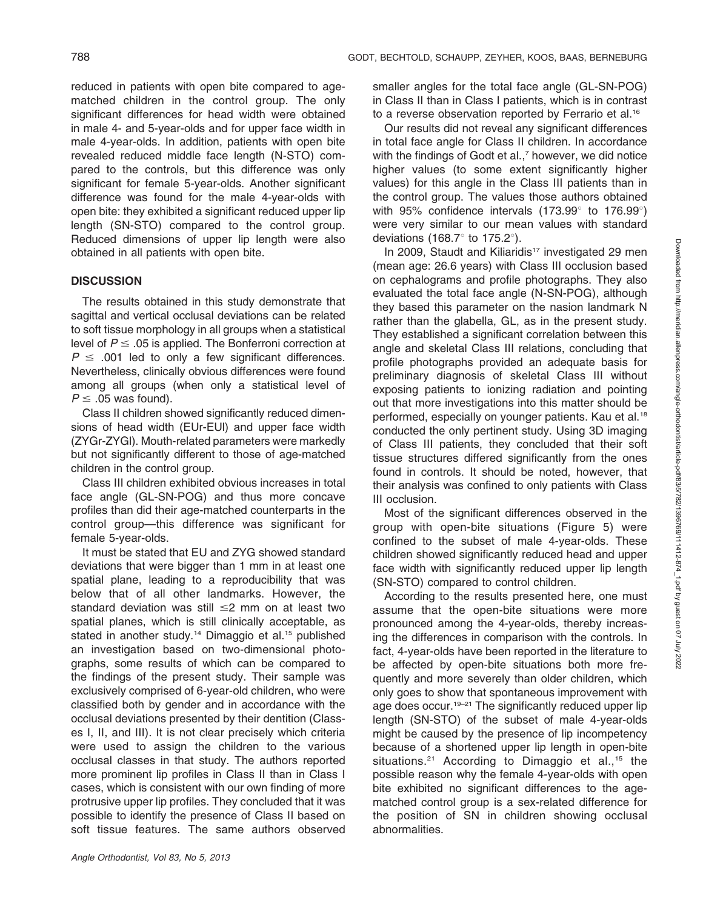reduced in patients with open bite compared to agematched children in the control group. The only significant differences for head width were obtained in male 4- and 5-year-olds and for upper face width in male 4-year-olds. In addition, patients with open bite revealed reduced middle face length (N-STO) compared to the controls, but this difference was only significant for female 5-year-olds. Another significant difference was found for the male 4-year-olds with open bite: they exhibited a significant reduced upper lip length (SN-STO) compared to the control group. Reduced dimensions of upper lip length were also obtained in all patients with open bite.

#### **DISCUSSION**

The results obtained in this study demonstrate that sagittal and vertical occlusal deviations can be related to soft tissue morphology in all groups when a statistical level of  $P \leq .05$  is applied. The Bonferroni correction at  $P \leq .001$  led to only a few significant differences. Nevertheless, clinically obvious differences were found among all groups (when only a statistical level of  $P \leq .05$  was found).

Class II children showed significantly reduced dimensions of head width (EUr-EUl) and upper face width (ZYGr-ZYGl). Mouth-related parameters were markedly but not significantly different to those of age-matched children in the control group.

Class III children exhibited obvious increases in total face angle (GL-SN-POG) and thus more concave profiles than did their age-matched counterparts in the control group—this difference was significant for female 5-year-olds.

It must be stated that EU and ZYG showed standard deviations that were bigger than 1 mm in at least one spatial plane, leading to a reproducibility that was below that of all other landmarks. However, the standard deviation was still  $\leq$  mm on at least two spatial planes, which is still clinically acceptable, as stated in another study.<sup>14</sup> Dimaggio et al.<sup>15</sup> published an investigation based on two-dimensional photographs, some results of which can be compared to the findings of the present study. Their sample was exclusively comprised of 6-year-old children, who were classified both by gender and in accordance with the occlusal deviations presented by their dentition (Classes I, II, and III). It is not clear precisely which criteria were used to assign the children to the various occlusal classes in that study. The authors reported more prominent lip profiles in Class II than in Class I cases, which is consistent with our own finding of more protrusive upper lip profiles. They concluded that it was possible to identify the presence of Class II based on soft tissue features. The same authors observed smaller angles for the total face angle (GL-SN-POG) in Class II than in Class I patients, which is in contrast to a reverse observation reported by Ferrario et al.<sup>16</sup>

Our results did not reveal any significant differences in total face angle for Class II children. In accordance with the findings of Godt et al.,<sup>7</sup> however, we did notice higher values (to some extent significantly higher values) for this angle in the Class III patients than in the control group. The values those authors obtained with 95% confidence intervals  $(173.99^{\circ}$  to  $176.99^{\circ})$ were very similar to our mean values with standard deviations (168.7 $\degree$  to 175.2 $\degree$ ).

In 2009, Staudt and Kiliaridis<sup>17</sup> investigated 29 men (mean age: 26.6 years) with Class III occlusion based on cephalograms and profile photographs. They also evaluated the total face angle (N-SN-POG), although they based this parameter on the nasion landmark N rather than the glabella, GL, as in the present study. They established a significant correlation between this angle and skeletal Class III relations, concluding that profile photographs provided an adequate basis for preliminary diagnosis of skeletal Class III without exposing patients to ionizing radiation and pointing out that more investigations into this matter should be performed, especially on younger patients. Kau et al.<sup>18</sup> conducted the only pertinent study. Using 3D imaging of Class III patients, they concluded that their soft tissue structures differed significantly from the ones found in controls. It should be noted, however, that their analysis was confined to only patients with Class III occlusion.

Most of the significant differences observed in the group with open-bite situations (Figure 5) were confined to the subset of male 4-year-olds. These children showed significantly reduced head and upper face width with significantly reduced upper lip length (SN-STO) compared to control children.

According to the results presented here, one must assume that the open-bite situations were more pronounced among the 4-year-olds, thereby increasing the differences in comparison with the controls. In fact, 4-year-olds have been reported in the literature to be affected by open-bite situations both more frequently and more severely than older children, which only goes to show that spontaneous improvement with age does occur.<sup>19-21</sup> The significantly reduced upper lip length (SN-STO) of the subset of male 4-year-olds might be caused by the presence of lip incompetency because of a shortened upper lip length in open-bite situations.<sup>21</sup> According to Dimaggio et al.,<sup>15</sup> the possible reason why the female 4-year-olds with open bite exhibited no significant differences to the agematched control group is a sex-related difference for the position of SN in children showing occlusal abnormalities.